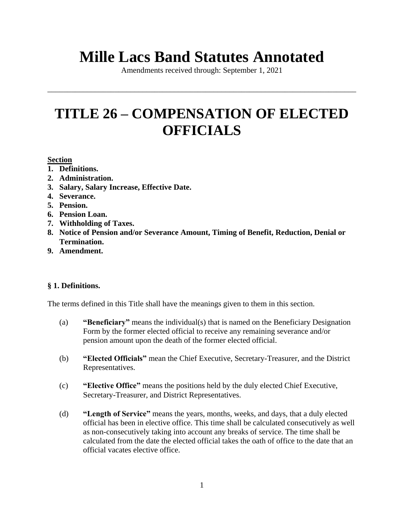# **Mille Lacs Band Statutes Annotated**

Amendments received through: September 1, 2021

\_\_\_\_\_\_\_\_\_\_\_\_\_\_\_\_\_\_\_\_\_\_\_\_\_\_\_\_\_\_\_\_\_\_\_\_\_\_\_\_\_\_\_\_\_\_\_\_\_\_\_\_\_\_\_\_\_\_\_\_\_\_\_\_\_\_\_\_\_\_\_\_\_\_\_\_\_\_

## **TITLE 26 – COMPENSATION OF ELECTED OFFICIALS**

## **Section**

- **1. Definitions.**
- **2. Administration.**
- **3. Salary, Salary Increase, Effective Date.**
- **4. Severance.**
- **5. Pension.**
- **6. Pension Loan.**
- **7. Withholding of Taxes.**
- **8. Notice of Pension and/or Severance Amount, Timing of Benefit, Reduction, Denial or Termination.**
- **9. Amendment.**

## **§ 1. Definitions.**

The terms defined in this Title shall have the meanings given to them in this section.

- (a) **"Beneficiary"** means the individual(s) that is named on the Beneficiary Designation Form by the former elected official to receive any remaining severance and/or pension amount upon the death of the former elected official.
- (b) **"Elected Officials"** mean the Chief Executive, Secretary-Treasurer, and the District Representatives.
- (c) **"Elective Office"** means the positions held by the duly elected Chief Executive, Secretary-Treasurer, and District Representatives.
- (d) **"Length of Service"** means the years, months, weeks, and days, that a duly elected official has been in elective office. This time shall be calculated consecutively as well as non-consecutively taking into account any breaks of service. The time shall be calculated from the date the elected official takes the oath of office to the date that an official vacates elective office.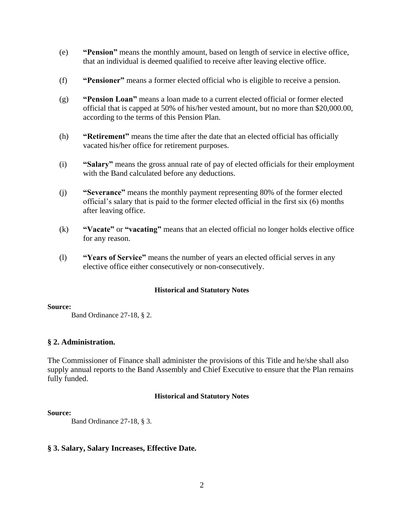- (e) **"Pension"** means the monthly amount, based on length of service in elective office, that an individual is deemed qualified to receive after leaving elective office.
- (f) **"Pensioner"** means a former elected official who is eligible to receive a pension.
- (g) **"Pension Loan"** means a loan made to a current elected official or former elected official that is capped at 50% of his/her vested amount, but no more than \$20,000.00, according to the terms of this Pension Plan.
- (h) **"Retirement"** means the time after the date that an elected official has officially vacated his/her office for retirement purposes.
- (i) **"Salary"** means the gross annual rate of pay of elected officials for their employment with the Band calculated before any deductions.
- (j) **"Severance"** means the monthly payment representing 80% of the former elected official's salary that is paid to the former elected official in the first six (6) months after leaving office.
- (k) **"Vacate"** or **"vacating"** means that an elected official no longer holds elective office for any reason.
- (l) **"Years of Service"** means the number of years an elected official serves in any elective office either consecutively or non-consecutively.

#### **Source:**

Band Ordinance 27-18, § 2.

## **§ 2. Administration.**

The Commissioner of Finance shall administer the provisions of this Title and he/she shall also supply annual reports to the Band Assembly and Chief Executive to ensure that the Plan remains fully funded.

## **Historical and Statutory Notes**

## **Source:**

Band Ordinance 27-18, § 3.

## **§ 3. Salary, Salary Increases, Effective Date.**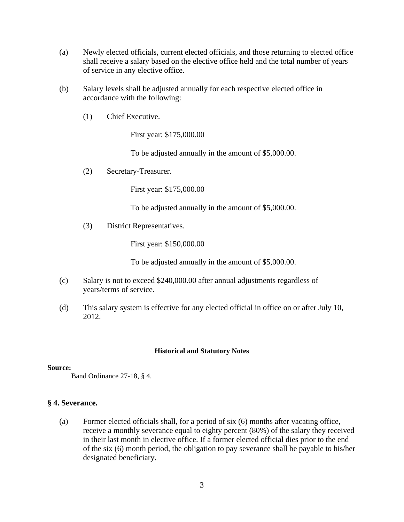- (a) Newly elected officials, current elected officials, and those returning to elected office shall receive a salary based on the elective office held and the total number of years of service in any elective office.
- (b) Salary levels shall be adjusted annually for each respective elected office in accordance with the following:
	- (1) Chief Executive.

First year: \$175,000.00

To be adjusted annually in the amount of \$5,000.00.

(2) Secretary-Treasurer.

First year: \$175,000.00

To be adjusted annually in the amount of \$5,000.00.

(3) District Representatives.

First year: \$150,000.00

To be adjusted annually in the amount of \$5,000.00.

- (c) Salary is not to exceed \$240,000.00 after annual adjustments regardless of years/terms of service.
- (d) This salary system is effective for any elected official in office on or after July 10, 2012.

## **Historical and Statutory Notes**

## **Source:**

Band Ordinance 27-18, § 4.

## **§ 4. Severance.**

(a) Former elected officials shall, for a period of six (6) months after vacating office, receive a monthly severance equal to eighty percent (80%) of the salary they received in their last month in elective office. If a former elected official dies prior to the end of the six (6) month period, the obligation to pay severance shall be payable to his/her designated beneficiary.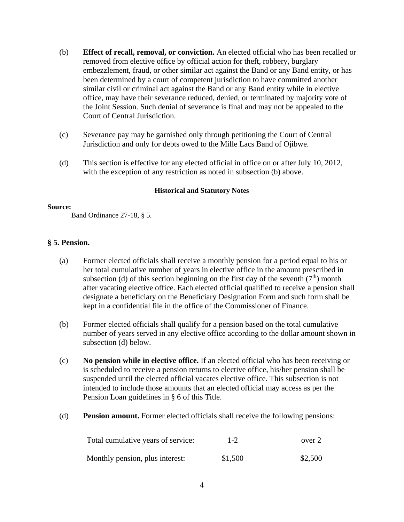- (b) **Effect of recall, removal, or conviction.** An elected official who has been recalled or removed from elective office by official action for theft, robbery, burglary embezzlement, fraud, or other similar act against the Band or any Band entity, or has been determined by a court of competent jurisdiction to have committed another similar civil or criminal act against the Band or any Band entity while in elective office, may have their severance reduced, denied, or terminated by majority vote of the Joint Session. Such denial of severance is final and may not be appealed to the Court of Central Jurisdiction.
- (c) Severance pay may be garnished only through petitioning the Court of Central Jurisdiction and only for debts owed to the Mille Lacs Band of Ojibwe.
- (d) This section is effective for any elected official in office on or after July 10, 2012, with the exception of any restriction as noted in subsection (b) above.

#### **Source:**

Band Ordinance 27-18, § 5.

## **§ 5. Pension.**

- (a) Former elected officials shall receive a monthly pension for a period equal to his or her total cumulative number of years in elective office in the amount prescribed in subsection (d) of this section beginning on the first day of the seventh  $(7<sup>th</sup>)$  month after vacating elective office. Each elected official qualified to receive a pension shall designate a beneficiary on the Beneficiary Designation Form and such form shall be kept in a confidential file in the office of the Commissioner of Finance.
- (b) Former elected officials shall qualify for a pension based on the total cumulative number of years served in any elective office according to the dollar amount shown in subsection (d) below.
- (c) **No pension while in elective office.** If an elected official who has been receiving or is scheduled to receive a pension returns to elective office, his/her pension shall be suspended until the elected official vacates elective office. This subsection is not intended to include those amounts that an elected official may access as per the Pension Loan guidelines in § 6 of this Title.
- (d) **Pension amount.** Former elected officials shall receive the following pensions:

| Total cumulative years of service: | <u>1-2</u> | over 2  |
|------------------------------------|------------|---------|
| Monthly pension, plus interest:    | \$1,500    | \$2,500 |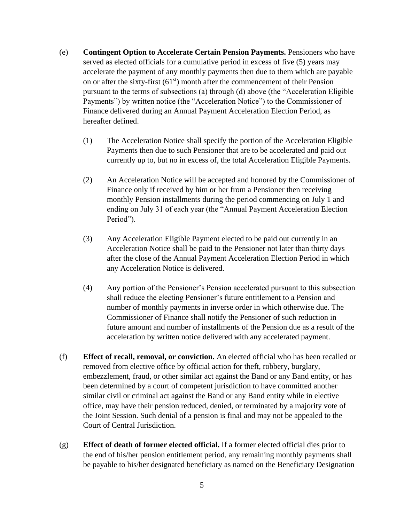- (e) **Contingent Option to Accelerate Certain Pension Payments.** Pensioners who have served as elected officials for a cumulative period in excess of five (5) years may accelerate the payment of any monthly payments then due to them which are payable on or after the sixty-first  $(61<sup>st</sup>)$  month after the commencement of their Pension pursuant to the terms of subsections (a) through (d) above (the "Acceleration Eligible Payments") by written notice (the "Acceleration Notice") to the Commissioner of Finance delivered during an Annual Payment Acceleration Election Period, as hereafter defined.
	- (1) The Acceleration Notice shall specify the portion of the Acceleration Eligible Payments then due to such Pensioner that are to be accelerated and paid out currently up to, but no in excess of, the total Acceleration Eligible Payments.
	- (2) An Acceleration Notice will be accepted and honored by the Commissioner of Finance only if received by him or her from a Pensioner then receiving monthly Pension installments during the period commencing on July 1 and ending on July 31 of each year (the "Annual Payment Acceleration Election Period").
	- (3) Any Acceleration Eligible Payment elected to be paid out currently in an Acceleration Notice shall be paid to the Pensioner not later than thirty days after the close of the Annual Payment Acceleration Election Period in which any Acceleration Notice is delivered.
	- (4) Any portion of the Pensioner's Pension accelerated pursuant to this subsection shall reduce the electing Pensioner's future entitlement to a Pension and number of monthly payments in inverse order in which otherwise due. The Commissioner of Finance shall notify the Pensioner of such reduction in future amount and number of installments of the Pension due as a result of the acceleration by written notice delivered with any accelerated payment.
- (f) **Effect of recall, removal, or conviction.** An elected official who has been recalled or removed from elective office by official action for theft, robbery, burglary, embezzlement, fraud, or other similar act against the Band or any Band entity, or has been determined by a court of competent jurisdiction to have committed another similar civil or criminal act against the Band or any Band entity while in elective office, may have their pension reduced, denied, or terminated by a majority vote of the Joint Session. Such denial of a pension is final and may not be appealed to the Court of Central Jurisdiction.
- (g) **Effect of death of former elected official.** If a former elected official dies prior to the end of his/her pension entitlement period, any remaining monthly payments shall be payable to his/her designated beneficiary as named on the Beneficiary Designation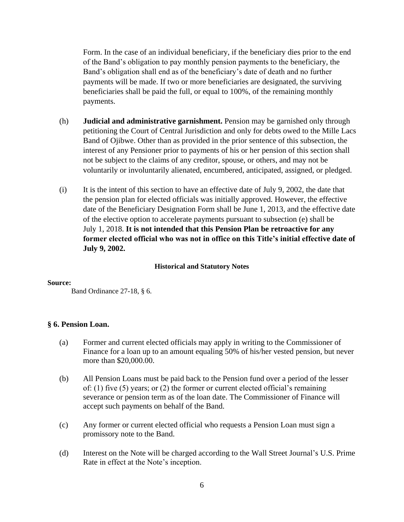Form. In the case of an individual beneficiary, if the beneficiary dies prior to the end of the Band's obligation to pay monthly pension payments to the beneficiary, the Band's obligation shall end as of the beneficiary's date of death and no further payments will be made. If two or more beneficiaries are designated, the surviving beneficiaries shall be paid the full, or equal to 100%, of the remaining monthly payments.

- (h) **Judicial and administrative garnishment.** Pension may be garnished only through petitioning the Court of Central Jurisdiction and only for debts owed to the Mille Lacs Band of Ojibwe. Other than as provided in the prior sentence of this subsection, the interest of any Pensioner prior to payments of his or her pension of this section shall not be subject to the claims of any creditor, spouse, or others, and may not be voluntarily or involuntarily alienated, encumbered, anticipated, assigned, or pledged.
- (i) It is the intent of this section to have an effective date of July 9, 2002, the date that the pension plan for elected officials was initially approved. However, the effective date of the Beneficiary Designation Form shall be June 1, 2013, and the effective date of the elective option to accelerate payments pursuant to subsection (e) shall be July 1, 2018. **It is not intended that this Pension Plan be retroactive for any former elected official who was not in office on this Title's initial effective date of July 9, 2002.**

## **Historical and Statutory Notes**

#### **Source:**

Band Ordinance 27-18, § 6.

## **§ 6. Pension Loan.**

- (a) Former and current elected officials may apply in writing to the Commissioner of Finance for a loan up to an amount equaling 50% of his/her vested pension, but never more than \$20,000.00.
- (b) All Pension Loans must be paid back to the Pension fund over a period of the lesser of: (1) five (5) years; or (2) the former or current elected official's remaining severance or pension term as of the loan date. The Commissioner of Finance will accept such payments on behalf of the Band.
- (c) Any former or current elected official who requests a Pension Loan must sign a promissory note to the Band.
- (d) Interest on the Note will be charged according to the Wall Street Journal's U.S. Prime Rate in effect at the Note's inception.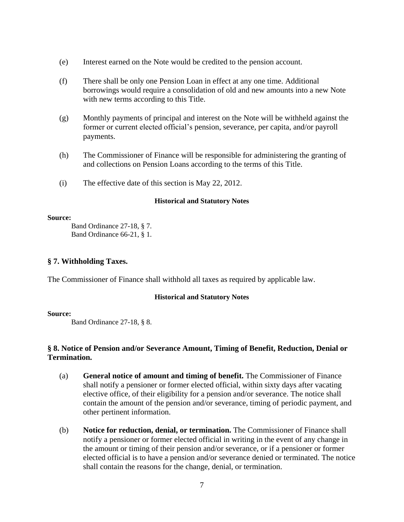- (e) Interest earned on the Note would be credited to the pension account.
- (f) There shall be only one Pension Loan in effect at any one time. Additional borrowings would require a consolidation of old and new amounts into a new Note with new terms according to this Title.
- (g) Monthly payments of principal and interest on the Note will be withheld against the former or current elected official's pension, severance, per capita, and/or payroll payments.
- (h) The Commissioner of Finance will be responsible for administering the granting of and collections on Pension Loans according to the terms of this Title.
- (i) The effective date of this section is May 22, 2012.

#### **Source:**

Band Ordinance 27-18, § 7. Band Ordinance 66-21, § 1.

## **§ 7. Withholding Taxes.**

The Commissioner of Finance shall withhold all taxes as required by applicable law.

## **Historical and Statutory Notes**

## **Source:**

Band Ordinance 27-18, § 8.

## **§ 8. Notice of Pension and/or Severance Amount, Timing of Benefit, Reduction, Denial or Termination.**

- (a) **General notice of amount and timing of benefit.** The Commissioner of Finance shall notify a pensioner or former elected official, within sixty days after vacating elective office, of their eligibility for a pension and/or severance. The notice shall contain the amount of the pension and/or severance, timing of periodic payment, and other pertinent information.
- (b) **Notice for reduction, denial, or termination.** The Commissioner of Finance shall notify a pensioner or former elected official in writing in the event of any change in the amount or timing of their pension and/or severance, or if a pensioner or former elected official is to have a pension and/or severance denied or terminated. The notice shall contain the reasons for the change, denial, or termination.